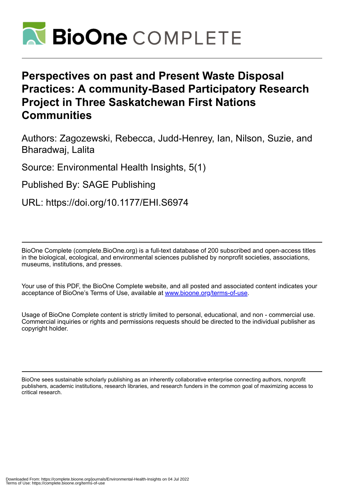

# **Perspectives on past and Present Waste Disposal Practices: A community-Based Participatory Research Project in Three Saskatchewan First Nations Communities**

Authors: Zagozewski, Rebecca, Judd-Henrey, Ian, Nilson, Suzie, and Bharadwaj, Lalita

Source: Environmental Health Insights, 5(1)

Published By: SAGE Publishing

URL: https://doi.org/10.1177/EHI.S6974

BioOne Complete (complete.BioOne.org) is a full-text database of 200 subscribed and open-access titles in the biological, ecological, and environmental sciences published by nonprofit societies, associations, museums, institutions, and presses.

Your use of this PDF, the BioOne Complete website, and all posted and associated content indicates your acceptance of BioOne's Terms of Use, available at www.bioone.org/terms-of-use.

Usage of BioOne Complete content is strictly limited to personal, educational, and non - commercial use. Commercial inquiries or rights and permissions requests should be directed to the individual publisher as copyright holder.

BioOne sees sustainable scholarly publishing as an inherently collaborative enterprise connecting authors, nonprofit publishers, academic institutions, research libraries, and research funders in the common goal of maximizing access to critical research.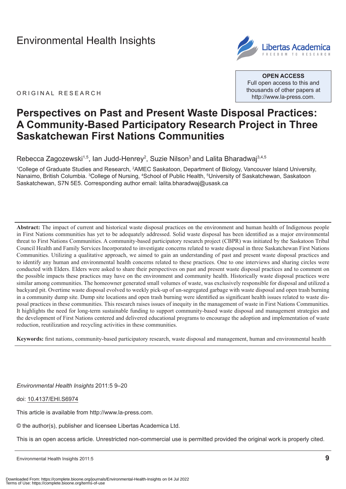

ORIGINAL RESEARCH

**Open Access** Full open access to this and thousands of other papers at <http://www.la-press.com>.

# **Perspectives on Past and Present Waste Disposal Practices: A Community-Based Participatory Research Project in Three Saskatchewan First Nations Communities**

Rebecca Zagozewski<sup>1,5</sup>, Ian Judd-Henrey<sup>2</sup>, Suzie Nilson<sup>3</sup> and Lalita Bharadwaj<sup>3,4,5</sup>

<sup>1</sup>College of Graduate Studies and Research, <sup>2</sup>AMEC Saskatoon, Department of Biology, Vancouver Island University, Nanaimo, British Columbia. <sup>3</sup>College of Nursing, <sup>4</sup>School of Public Health, <sup>5</sup>University of Saskatchewan, Saskatoon Saskatchewan, S7N 5E5. Corresponding author email: [lalita.bharadwaj@usask.ca](mailto:lalita.bharadwaj@usask.ca)

**Abstract:** The impact of current and historical waste disposal practices on the environment and human health of Indigenous people in First Nations communities has yet to be adequately addressed. Solid waste disposal has been identified as a major environmental threat to First Nations Communities. A community-based participatory research project (CBPR) was initiated by the Saskatoon Tribal Council Health and Family Services Incorporated to investigate concerns related to waste disposal in three Saskatchewan First Nations Communities. Utilizing a qualitative approach, we aimed to gain an understanding of past and present waste disposal practices and to identify any human and environmental health concerns related to these practices. One to one interviews and sharing circles were conducted with Elders. Elders were asked to share their perspectives on past and present waste disposal practices and to comment on the possible impacts these practices may have on the environment and community health. Historically waste disposal practices were similar among communities. The homeowner generated small volumes of waste, was exclusively responsible for disposal and utilized a backyard pit. Overtime waste disposal evolved to weekly pick-up of un-segregated garbage with waste disposal and open trash burning in a community dump site. Dump site locations and open trash burning were identified as significant health issues related to waste disposal practices in these communities. This research raises issues of inequity in the management of waste in First Nations Communities. It highlights the need for long-term sustainable funding to support community-based waste disposal and management strategies and the development of First Nations centered and delivered educational programs to encourage the adoption and implementation of waste reduction, reutilization and recycling activities in these communities.

**Keywords:** first nations, community-based participatory research, waste disposal and management, human and environmental health

*Environmental Health Insights* 2011:5 9–20

doi: [10.4137/EHI.S6974](http://dx.doi.org/10.4137/EHI.S6974)

This article is available from [http://www.la-press.com.](http://www.la-press.com)

© the author(s), publisher and licensee Libertas Academica Ltd.

This is an open access article. Unrestricted non-commercial use is permitted provided the original work is properly cited.

Environmental Health Insights 2011:5 **9**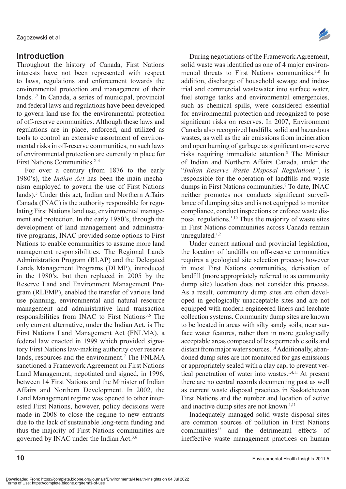### **Introduction**

Throughout the history of Canada, First Nations interests have not been represented with respect to laws, regulations and enforcement towards the environmental protection and management of their lands.1,2 In Canada, a series of municipal, provincial and federal laws and regulations have been developed to govern land use for the environmental protection of off-reserve communities. Although these laws and regulations are in place, enforced, and utilized as tools to control an extensive assortment of environmental risks in off-reserve communities, no such laws of environmental protection are currently in place for First Nations Communities.<sup>2-4</sup>

For over a century (from 1876 to the early 1980's), the *Indian Act* has been the main mechanism employed to govern the use of First Nations lands).<sup>5</sup> Under this act, Indian and Northern Affairs Canada (INAC) is the authority responsible for regulating First Nations land use, environmental management and protection. In the early 1980's, through the development of land management and administrative programs, INAC provided some options to First Nations to enable communities to assume more land management responsibilities. The Regional Lands Administration Program (RLAP) and the Delegated Lands Management Programs (DLMP), introduced in the 1980's, but then replaced in 2005 by the Reserve Land and Environment Management Program (RLEMP), enabled the transfer of various land use planning, environmental and natural resource management and administrative land transaction responsibilities from INAC to First Nations<sup>3,6</sup> The only current alternative, under the Indian Act, is The First Nations Land Management Act (FNLMA), a federal law enacted in 1999 which provided signatory First Nations law-making authority over reserve lands, resources and the environment.<sup>7</sup> The FNLMA sanctioned a Framework Agreement on First Nations Land Management, negotiated and signed, in 1996, between 14 First Nations and the Minister of Indian Affairs and Northern Development. In 2002, the Land Management regime was opened to other interested First Nations, however, policy decisions were made in 2008 to close the regime to new entrants due to the lack of sustainable long-term funding and thus the majority of First Nations communities are governed by INAC under the Indian Act.3,6



During negotiations of the Framework Agreement, solid waste was identified as one of 4 major environmental threats to First Nations communities.<sup>3,8</sup> In addition, discharge of household sewage and industrial and commercial wastewater into surface water, fuel storage tanks and environmental emergencies, such as chemical spills, were considered essential for environmental protection and recognized to pose significant risks on reserves. In 2007, Environment Canada also recognized landfills, solid and hazardous wastes, as well as the air emissions from incineration and open burning of garbage as significant on-reserve risks requiring immediate attention.<sup>3</sup> The Minister of Indian and Northern Affairs Canada, under the "*Indian Reserve Waste Disposal Regulations"*, is responsible for the operation of landfills and waste dumps in First Nations communities.<sup>9</sup> To date, INAC neither promotes nor conducts significant surveillance of dumping sites and is not equipped to monitor compliance, conduct inspections or enforce waste disposal regulations.3,10 Thus the majority of waste sites in First Nations communities across Canada remain unregulated.<sup>1,2</sup>

Under current national and provincial legislation, the location of landfills on off-reserve communities requires a geological site selection process; however in most First Nations communities, derivation of landfill (more appropriately referred to as community dump site) location does not consider this process. As a result, community dump sites are often developed in geologically unacceptable sites and are not equipped with modern engineered liners and leachate collection systems. Community dump sites are known to be located in areas with silty sandy soils, near surface water features, rather than in more geologically acceptable areas composed of less permeable soils and distant from major water sources.<sup>1,4</sup> Additionally, abandoned dump sites are not monitored for gas emissions or appropriately sealed with a clay cap, to prevent vertical penetration of water into wastes.<sup>1,4,11</sup> At present there are no central records documenting past as well as current waste disposal practices in Saskatchewan First Nations and the number and location of active and inactive dump sites are not known.<sup>1,11</sup>

Inadequately managed solid waste disposal sites are common sources of pollution in First Nations<br>communities<sup>12</sup> and the detrimental effects of and the detrimental effects of ineffective waste management practices on human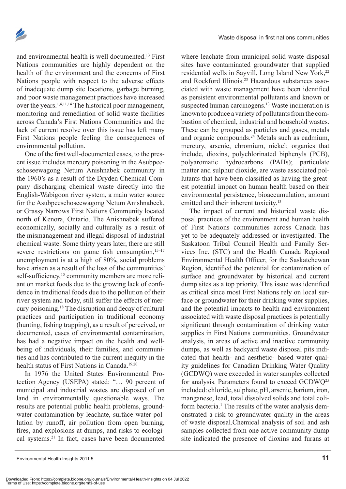

and environmental health is well documented.13 First Nations communities are highly dependent on the health of the environment and the concerns of First Nations people with respect to the adverse effects of inadequate dump site locations, garbage burning, and poor waste management practices have increased over the years.<sup>1,4,11,14</sup> The historical poor management, monitoring and remediation of solid waste facilities across Canada's First Nations Communities and the lack of current resolve over this issue has left many First Nations people feeling the consequences of environmental pollution.

One of the first well-documented cases, to the present issue includes mercury poisoning in the Asubpeeschoseewagong Netum Anishnabek community in the 1960's as a result of the Dryden Chemical Company discharging chemical waste directly into the English-Wabigoon river system, a main water source for the Asubpeeschoseewagong Netum Anishnabeck, or Grassy Narrows First Nations Community located north of Kenora, Ontario. The Anishnabek suffered economically, socially and culturally as a result of the mismanagement and illegal disposal of industrial chemical waste. Some thirty years later, there are still severe restrictions on game fish consumption, $15-17$ unemployment is at a high of 80%, social problems have arisen as a result of the loss of the communities' self-sufficiency,<sup>15</sup> community members are more reliant on market foods due to the growing lack of confidence in traditional foods due to the pollution of their river system and today, still suffer the effects of mercury poisoning.<sup>18</sup> The disruption and decay of cultural practices and participation in traditional economy (hunting, fishing trapping), as a result of perceived, or documented, cases of environmental contamination, has had a negative impact on the health and wellbeing of individuals, their families, and communities and has contributed to the current inequity in the health status of First Nations in Canada.<sup>19,20</sup>

In 1976 the United States Environmental Protection Agency (USEPA) stated: "… 90 percent of municipal and industrial wastes are disposed of on land in environmentally questionable ways. The results are potential public health problems, groundwater contamination by leachate, surface water pollution by runoff, air pollution from open burning, fires, and explosions at dumps, and risks to ecological systems.21 In fact, cases have been documented where leachate from municipal solid waste disposal sites have contaminated groundwater that supplied residential wells in Sayvill, Long Island New York,<sup>22</sup> and Rockford Illinois.<sup>23</sup> Hazardous substances associated with waste management have been identified as persistent environmental pollutants and known or suspected human carcinogens.13 Waste incineration is known to produce a variety of pollutants from the combustion of chemical, industrial and household wastes. These can be grouped as particles and gases, metals and organic compounds.24 Metals such as cadmium, mercury, arsenic, chromium, nickel; organics that include, dioxins, polychlorinated biphenyls (PCB), polyaromatic hydrocarbons (PAHs); particulate matter and sulphur dioxide, are waste associated pollutants that have been classified as having the greatest potential impact on human health based on their environmental persistence, bioaccumulation, amount emitted and their inherent toxicity.<sup>13</sup>

The impact of current and historical waste disposal practices of the environment and human health of First Nations communities across Canada has yet to be adequately addressed or investigated. The Saskatoon Tribal Council Health and Family Services Inc. (STC) and the Health Canada Regional Environmental Health Officer, for the Saskatchewan Region, identified the potential for contamination of surface and groundwater by historical and current dump sites as a top priority. This issue was identified as critical since most First Nations rely on local surface or groundwater for their drinking water supplies, and the potential impacts to health and environment associated with waste disposal practices is potentially significant through contamination of drinking water supplies in First Nations communities. Groundwater analysis, in areas of active and inactive community dumps, as well as backyard waste disposal pits indicated that health- and aesthetic- based water quality guidelines for Canadian Drinking Water Quality (GCDWQ) were exceeded in water samples collected for analysis. Parameters found to exceed GCDWQ<sup>25</sup> included: chloride, sulphate, pH, arsenic, barium, iron, manganese, lead, total dissolved solids and total coliform bacteria.<sup>1</sup> The results of the water analysis demonstrated a risk to groundwater quality in the areas of waste disposal.Chemical analysis of soil and ash samples collected from one active community dump site indicated the presence of dioxins and furans at

Environmental Health Insights 2011:5 **11**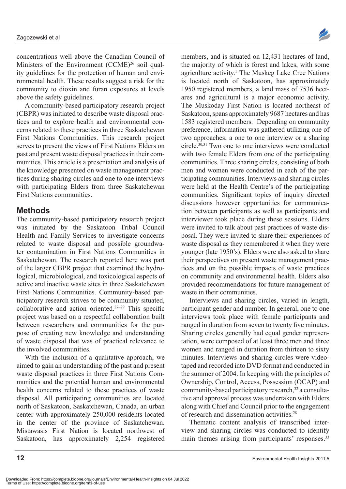concentrations well above the Canadian Council of Ministers of the Environment  $(CCME)^{26}$  soil quality guidelines for the protection of human and environmental health. These results suggest a risk for the community to dioxin and furan exposures at levels above the safety guidelines.

A community-based participatory research project (CBPR) was initiated to describe waste disposal practices and to explore health and environmental concerns related to these practices in three Saskatchewan First Nations Communities. This research project serves to present the views of First Nations Elders on past and present waste disposal practices in their communities. This article is a presentation and analysis of the knowledge presented on waste management practices during sharing circles and one to one interviews with participating Elders from three Saskatchewan First Nations communities.

#### **Methods**

The community-based participatory research project was initiated by the Saskatoon Tribal Council Health and Family Services to investigate concerns related to waste disposal and possible groundwater contamination in First Nations Communities in Saskatchewan. The research reported here was part of the larger CBPR project that examined the hydrological, microbiological, and toxicological aspects of active and inactive waste sites in three Saskatchewan First Nations Communities. Community-based participatory research strives to be community situated, collaborative and action oriented.27–29 This specific project was based on a respectful collaboration built between researchers and communities for the purpose of creating new knowledge and understanding of waste disposal that was of practical relevance to the involved communities.

With the inclusion of a qualitative approach, we aimed to gain an understanding of the past and present waste disposal practices in three First Nations Communities and the potential human and environmental health concerns related to these practices of waste disposal. All participating communities are located north of Saskatoon, Saskatchewan, Canada, an urban center with approximately 250,000 residents located in the center of the province of Saskatchewan. Mistawasis First Nation is located northwest of Saskatoon, has approximately 2,254 registered



Interviews and sharing circles, varied in length, participant gender and number. In general, one to one interviews took place with female participants and ranged in duration from seven to twenty five minutes. Sharing circles generally had equal gender representation, were composed of at least three men and three women and ranged in duration from thirteen to sixty minutes. Interviews and sharing circles were videotaped and recorded into DVD format and conducted in the summer of 2004. In keeping with the principles of Ownership, Control, Access, Possession (OCAP) and community-based participatory research, $32$  a consultative and approval process was undertaken with Elders along with Chief and Council prior to the engagement of research and dissemination activities.<sup>28</sup>

Thematic content analysis of transcribed interview and sharing circles was conducted to identify main themes arising from participants' responses.<sup>33</sup>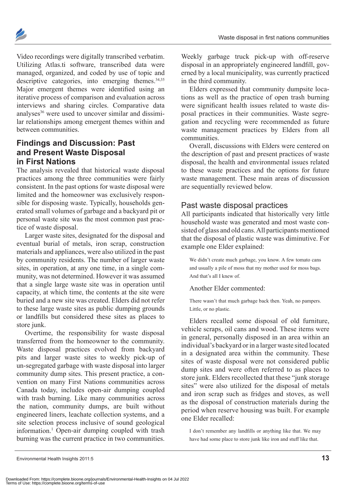



Video recordings were digitally transcribed verbatim. Utilizing Atlas.ti software, transcribed data were managed, organized, and coded by use of topic and descriptive categories, into emerging themes.<sup>34,35</sup> Major emergent themes were identified using an iterative process of comparison and evaluation across interviews and sharing circles. Comparative data analyses<sup>36</sup> were used to uncover similar and dissimilar relationships among emergent themes within and between communities.

### **Findings and Discussion: Past and Present Waste Disposal in First Nations**

The analysis revealed that historical waste disposal practices among the three communities were fairly consistent. In the past options for waste disposal were limited and the homeowner was exclusively responsible for disposing waste. Typically, households generated small volumes of garbage and a backyard pit or personal waste site was the most common past practice of waste disposal.

Larger waste sites, designated for the disposal and eventual burial of metals, iron scrap, construction materials and appliances, were also utilized in the past by community residents. The number of larger waste sites, in operation, at any one time, in a single community, was not determined. However it was assumed that a single large waste site was in operation until capacity, at which time, the contents at the site were buried and a new site was created. Elders did not refer to these large waste sites as public dumping grounds or landfills but considered these sites as places to store junk.

Overtime, the responsibility for waste disposal transferred from the homeowner to the community. Waste disposal practices evolved from backyard pits and larger waste sites to weekly pick-up of un-segregated garbage with waste disposal into larger community dump sites. This present practice, a convention on many First Nations communities across Canada today, includes open-air dumping coupled with trash burning. Like many communities across the nation, community dumps, are built without engineered liners, leachate collection systems, and a site selection process inclusive of sound geological information.1 Open-air dumping coupled with trash burning was the current practice in two communities.

Weekly garbage truck pick-up with off-reserve disposal in an appropriately engineered landfill, governed by a local municipality, was currently practiced in the third community.

Elders expressed that community dumpsite locations as well as the practice of open trash burning were significant health issues related to waste disposal practices in their communities. Waste segregation and recycling were recommended as future waste management practices by Elders from all communities.

Overall, discussions with Elders were centered on the description of past and present practices of waste disposal, the health and environmental issues related to these waste practices and the options for future waste management. These main areas of discussion are sequentially reviewed below.

## Past waste disposal practices

All participants indicated that historically very little household waste was generated and most waste consisted of glass and old cans. All participants mentioned that the disposal of plastic waste was diminutive. For example one Elder explained:

We didn't create much garbage, you know. A few tomato cans and usually a pile of moss that my mother used for moss bags. And that's all I knew of.

### Another Elder commented:

There wasn't that much garbage back then. Yeah, no pampers. Little, or no plastic.

Elders recalled some disposal of old furniture, vehicle scraps, oil cans and wood. These items were in general, personally disposed in an area within an individual's backyard or in a larger waste sited located in a designated area within the community. These sites of waste disposal were not considered public dump sites and were often referred to as places to store junk. Elders recollected that these "junk storage sites" were also utilized for the disposal of metals and iron scrap such as fridges and stoves, as well as the disposal of construction materials during the period when reserve housing was built. For example one Elder recalled:

I don't remember any landfills or anything like that. We may have had some place to store junk like iron and stuff like that.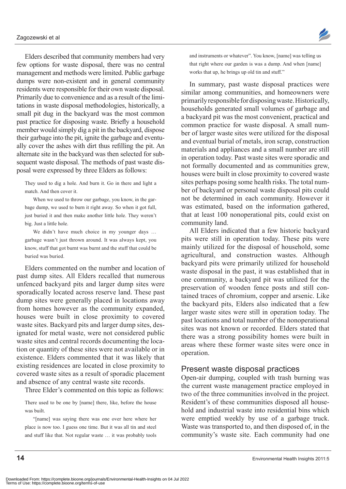Elders described that community members had very few options for waste disposal, there was no central management and methods were limited. Public garbage dumps were non-existent and in general community residents were responsible for their own waste disposal. Primarily due to convenience and as a result of the limitations in waste disposal methodologies, historically, a small pit dug in the backyard was the most common past practice for disposing waste. Briefly a household member would simply dig a pit in the backyard, dispose their garbage into the pit, ignite the garbage and eventually cover the ashes with dirt thus refilling the pit. An alternate site in the backyard was then selected for subsequent waste disposal. The methods of past waste disposal were expressed by three Elders as follows:

They used to dig a hole. And burn it. Go in there and light a match. And then cover it.

When we used to throw our garbage, you know, in the garbage dump, we used to burn it right away. So when it got full, just buried it and then make another little hole. They weren't big. Just a little hole.

We didn't have much choice in my younger days … garbage wasn't just thrown around. It was always kept, you know, stuff that got burnt was burnt and the stuff that could be buried was buried.

Elders commented on the number and location of past dump sites. All Elders recalled that numerous unfenced backyard pits and larger dump sites were sporadically located across reserve land. These past dump sites were generally placed in locations away from homes however as the community expanded, houses were built in close proximity to covered waste sites. Backyard pits and larger dump sites, designated for metal waste, were not considered public waste sites and central records documenting the location or quantity of these sites were not available or in existence. Elders commented that it was likely that existing residences are located in close proximity to covered waste sites as a result of sporadic placement and absence of any central waste site records.

Three Elder's commented on this topic as follows:

There used to be one by [name] there, like, before the house was built.

"[name] was saying there was one over here where her place is now too. I guess one time. But it was all tin and steel and stuff like that. Not regular waste … it was probably tools



and instruments or whatever". You know, [name] was telling us that right where our garden is was a dump. And when [name] works that up, he brings up old tin and stuff."

In summary, past waste disposal practices were similar among communities, and homeowners were primarily responsible for disposing waste. Historically, households generated small volumes of garbage and a backyard pit was the most convenient, practical and common practice for waste disposal. A small number of larger waste sites were utilized for the disposal and eventual burial of metals, iron scrap, construction materials and appliances and a small number are still in operation today. Past waste sites were sporadic and not formally documented and as communities grew, houses were built in close proximity to covered waste sites perhaps posing some health risks. The total number of backyard or personal waste disposal pits could not be determined in each community. However it was estimated, based on the information gathered, that at least 100 nonoperational pits, could exist on community land.

All Elders indicated that a few historic backyard pits were still in operation today. These pits were mainly utilized for the disposal of household, some agricultural, and construction wastes. Although backyard pits were primarily utilized for household waste disposal in the past, it was established that in one community, a backyard pit was utilized for the preservation of wooden fence posts and still contained traces of chromium, copper and arsenic. Like the backyard pits, Elders also indicated that a few larger waste sites were still in operation today. The past locations and total number of the nonoperational sites was not known or recorded. Elders stated that there was a strong possibility homes were built in areas where these former waste sites were once in operation.

### Present waste disposal practices

Open-air dumping, coupled with trash burning was the current waste management practice employed in two of the three communities involved in the project. Resident's of these communities disposed all household and industrial waste into residential bins which were emptied weekly by use of a garbage truck. Waste was transported to, and then disposed of, in the community's waste site. Each community had one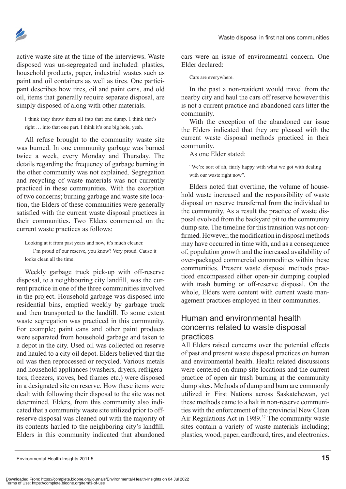

active waste site at the time of the interviews. Waste disposed was un-segregated and included: plastics, household products, paper, industrial wastes such as paint and oil containers as well as tires. One participant describes how tires, oil and paint cans, and old oil, items that generally require separate disposal, are simply disposed of along with other materials.

I think they throw them all into that one dump. I think that's right … into that one part. I think it's one big hole, yeah.

All refuse brought to the community waste site was burned. In one community garbage was burned twice a week, every Monday and Thursday. The details regarding the frequency of garbage burning in the other community was not explained. Segregation and recycling of waste materials was not currently practiced in these communities. With the exception of two concerns; burning garbage and waste site location, the Elders of these communities were generally satisfied with the current waste disposal practices in their communities. Two Elders commented on the current waste practices as follows:

Looking at it from past years and now, it's much cleaner. I'm proud of our reserve, you know? Very proud. Cause it looks clean all the time.

Weekly garbage truck pick-up with off-reserve disposal, to a neighbouring city landfill, was the current practice in one of the three communities involved in the project. Household garbage was disposed into residential bins, emptied weekly by garbage truck and then transported to the landfill. To some extent waste segregation was practiced in this community. For example; paint cans and other paint products were separated from household garbage and taken to a depot in the city. Used oil was collected on reserve and hauled to a city oil depot. Elders believed that the oil was then reprocessed or recycled. Various metals and household appliances (washers, dryers, refrigerators, freezers, stoves, bed frames etc.) were disposed in a designated site on reserve. How these items were dealt with following their disposal to the site was not determined. Elders, from this community also indicated that a community waste site utilized prior to offreserve disposal was cleaned out with the majority of its contents hauled to the neighboring city's landfill. Elders in this community indicated that abandoned

cars were an issue of environmental concern. One Elder declared:

Cars are everywhere.

In the past a non-resident would travel from the nearby city and haul the cars off reserve however this is not a current practice and abandoned cars litter the community.

With the exception of the abandoned car issue the Elders indicated that they are pleased with the current waste disposal methods practiced in their community.

As one Elder stated:

"We're sort of ah, fairly happy with what we got with dealing with our waste right now".

Elders noted that overtime, the volume of household waste increased and the responsibility of waste disposal on reserve transferred from the individual to the community. As a result the practice of waste disposal evolved from the backyard pit to the community dump site. The timeline for this transition was not confirmed. However, the modification in disposal methods may have occurred in time with, and as a consequence of, population growth and the increased availability of over-packaged commercial commodities within these communities. Present waste disposal methods practiced encompassed either open-air dumping coupled with trash burning or off-reserve disposal. On the whole, Elders were content with current waste management practices employed in their communities.

## Human and environmental health concerns related to waste disposal practices

All Elders raised concerns over the potential effects of past and present waste disposal practices on human and environmental health. Health related discussions were centered on dump site locations and the current practice of open air trash burning at the community dump sites. Methods of dump and burn are commonly utilized in First Nations across Saskatchewan, yet these methods came to a halt in non-reserve communities with the enforcement of the provincial New Clean Air Regulations Act in 1989.<sup>37</sup> The community waste sites contain a variety of waste materials including; plastics, wood, paper, cardboard, tires, and electronics.

Environmental Health Insights 2011:5 **15**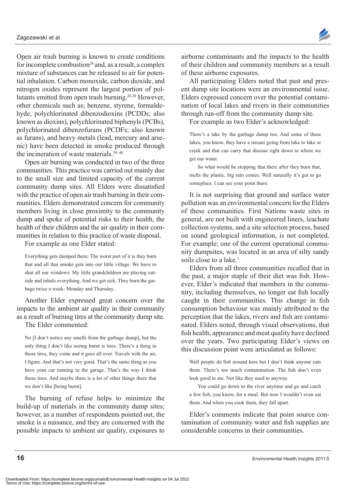Open air trash burning is known to create conditions for incomplete combustion<sup>26</sup> and, as a result, a complex mixture of substances can be released to air for potential inhalation. Carbon monoxide, carbon dioxide, and nitrogen oxides represent the largest portion of pollutants emitted from open trash burning.26,38 However, other chemicals such as; benzene, styrene, formaldehyde, polychlorinated dibenzodioxins (PCDDs; also known as dioxins), polychlorinated biphenyls (PCBs), polychlorinated dibenzofurans (PCDFs; also known as furans), and heavy metals (lead, mercury and arsenic) have been detected in smoke produced through the incineration of waste materials.<sup>38-40</sup>

Open air burning was conducted in two of the three communities. This practice was carried out mainly due to the small size and limited capacity of the current community dump sites. All Elders were dissatisfied with the practice of open air trash burning in their communities. Elders demonstrated concern for community members living in close proximity to the community dump and spoke of potential risks to their health, the health of their children and the air quality in their communities in relation to this practice of waste disposal.

For example as one Elder stated:

Everything gets dumped there. The worst part of it is they burn that and all that smoke gets into our little village. We have to shut all our windows. My little grandchildren are playing outside and inhale everything. And we got sick. They burn the garbage twice a week- Monday and Thursday.

Another Elder expressed great concern over the impacts to the ambient air quality in their community as a result of burning tires at the community dump site. The Elder commented:

No [I don't notice any smells from the garbage dump], but the only thing I don't like seeing burnt is tires. There's a thing in those tires, they come and it goes all over. Travels with the air, I figure. And that's not very good. That's the same thing as you have your car running in the garage. That's the way I think those tires. And maybe there is a lot of other things there that we don't like [being burnt].

The burning of refuse helps to minimize the build-up of materials in the community dump sites; however, as a number of respondents pointed out, the smoke is a nuisance, and they are concerned with the possible impacts to ambient air quality, exposures to



airborne contaminants and the impacts to the health of their children and community members as a result of these airborne exposures.

All participating Elders noted that past and present dump site locations were an environmental issue. Elders expressed concern over the potential contamination of local lakes and rivers in their communities through run-off from the community dump site.

For example as two Elder's acknowledged:

There's a lake by the garbage dump too. And some of these lakes, you know, they have a stream going from lake to lake or creek and that can carry that disease right down to where we get our water.

So what would be stopping that there after they burn that, melts the plastic, big rain comes. Well naturally it's got to go someplace. I can see your point there.

It is not surprising that ground and surface water pollution was an environmental concern for the Elders of these communities. First Nations waste sites in general, are not built with engineered liners, leachate collection systems, and a site selection process, based on sound geological information, is not completed. For example; one of the current operational community dumpsites, was located in an area of silty sandy soils close to a lake.<sup>1</sup>

Elders from all three communities recalled that in the past, a major staple of their diet was fish. However, Elder's indicated that members in the community, including themselves, no longer eat fish locally caught in their communities. This change in fish consumption behaviour was mainly attributed to the perception that the lakes, rivers and fish are contaminated. Elders noted, through visual observations, that fish health, appearance and meat quality have declined over the years. Two participating Elder's views on this discussion point were articulated as follows:

Well people do fish around here but I don't think anyone eats them. There's too much contamination. The fish don't even look good to me. Not like they used to anyway.

You could go down to the river anytime and go and catch a few fish, you know, for a meal. But now I wouldn't even eat them. And when you cook them, they fall apart.

Elder's comments indicate that point source contamination of community water and fish supplies are considerable concerns in their communities.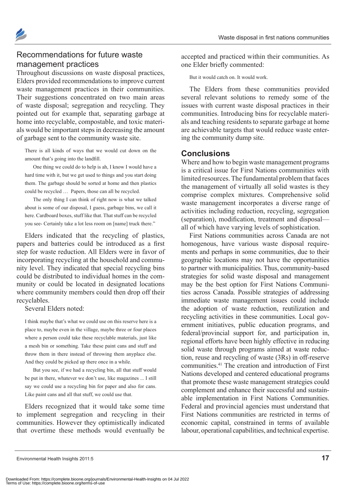

## Recommendations for future waste management practices

Throughout discussions on waste disposal practices, Elders provided recommendations to improve current waste management practices in their communities. Their suggestions concentrated on two main areas of waste disposal; segregation and recycling. They pointed out for example that, separating garbage at home into recyclable, compostable, and toxic materials would be important steps in decreasing the amount of garbage sent to the community waste site.

There is all kinds of ways that we would cut down on the amount that's going into the landfill.

One thing we could do to help is ah, I know I would have a hard time with it, but we get used to things and you start doing them. The garbage should be sorted at home and then plastics could be recycled … Papers, those can all be recycled.

The only thing I can think of right now is what we talked about is some of our disposal, I guess, garbage bins, we call it here. Cardboard boxes, stuff like that. That stuff can be recycled you see- Certainly take a lot less room on [name] truck there."

Elders indicated that the recycling of plastics, papers and batteries could be introduced as a first step for waste reduction. All Elders were in favor of incorporating recycling at the household and community level. They indicated that special recycling bins could be distributed to individual homes in the community or could be located in designated locations where community members could then drop off their recyclables.

Several Elders noted:

I think maybe that's what we could use on this reserve here is a place to, maybe even in the village, maybe three or four places where a person could take these recyclable materials, just like a mesh bin or something. Take these paint cans and stuff and throw them in there instead of throwing them anyplace else. And they could be picked up there once in a while.

But you see, if we had a recycling bin, all that stuff would be put in there, whatever we don't use, like magazines ... I still say we could use a recycling bin for paper and also for cans. Like paint cans and all that stuff, we could use that.

Elders recognized that it would take some time to implement segregation and recycling in their communities. However they optimistically indicated that overtime these methods would eventually be accepted and practiced within their communities. As one Elder briefly commented:

Waste disposal in first nations communities

But it would catch on. It would work.

The Elders from these communities provided several relevant solutions to remedy some of the issues with current waste disposal practices in their communities. Introducing bins for recyclable materials and teaching residents to separate garbage at home are achievable targets that would reduce waste entering the community dump site.

### **Conclusions**

Where and how to begin waste management programs is a critical issue for First Nations communities with limited resources. The fundamental problem that faces the management of virtually all solid wastes is they comprise complex mixtures. Comprehensive solid waste management incorporates a diverse range of activities including reduction, recycling, segregation (separation), modification, treatment and disposal all of which have varying levels of sophistication.

First Nations communities across Canada are not homogenous, have various waste disposal requirements and perhaps in some communities, due to their geographic locations may not have the opportunities to partner with municipalities. Thus, community-based strategies for solid waste disposal and management may be the best option for First Nations Communities across Canada. Possible strategies of addressing immediate waste management issues could include the adoption of waste reduction, reutilization and recycling activities in these communities. Local government initiatives, public education programs, and federal/provincial support for, and participation in, regional efforts have been highly effective in reducing solid waste through programs aimed at waste reduction, reuse and recycling of waste (3Rs) in off-reserve communities.41 The creation and introduction of First Nations developed and centered educational programs that promote these waste management strategies could complement and enhance their successful and sustainable implementation in First Nations Communities. Federal and provincial agencies must understand that First Nations communities are restricted in terms of economic capital, constrained in terms of available labour, operational capabilities, and technical expertise.

Environmental Health Insights 2011:5 **17**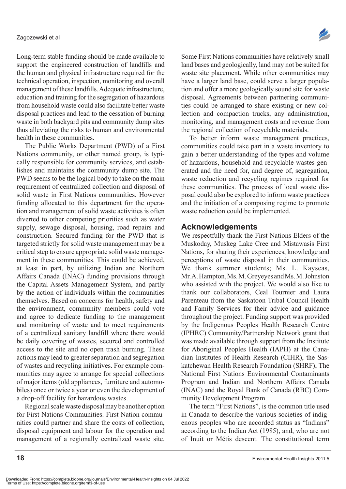

Long-term stable funding should be made available to support the engineered construction of landfills and the human and physical infrastructure required for the technical operation, inspection, monitoring and overall management of these landfills. Adequate infrastructure, education and training for the segregation of hazardous from household waste could also facilitate better waste disposal practices and lead to the cessation of burning waste in both backyard pits and community dump sites thus alleviating the risks to human and environmental health in these communities.

The Public Works Department (PWD) of a First Nations community, or other named group, is typically responsible for community services, and establishes and maintains the community dump site. The PWD seems to be the logical body to take on the main requirement of centralized collection and disposal of solid waste in First Nations communities. However funding allocated to this department for the operation and management of solid waste activities is often diverted to other competing priorities such as water supply, sewage disposal, housing, road repairs and construction. Secured funding for the PWD that is targeted strictly for solid waste management may be a critical step to ensure appropriate solid waste management in these communities. This could be achieved, at least in part, by utilizing Indian and Northern Affairs Canada (INAC) funding provisions through the Capital Assets Management System, and partly by the action of individuals within the communities themselves. Based on concerns for health, safety and the environment, community members could vote and agree to dedicate funding to the management and monitoring of waste and to meet requirements of a centralized sanitary landfill where there would be daily covering of wastes, secured and controlled access to the site and no open trash burning. These actions may lead to greater separation and segregation of wastes and recycling initiatives. For example communities may agree to arrange for special collections of major items (old appliances, furniture and automobiles) once or twice a year or even the development of a drop-off facility for hazardous wastes.

Regional scale waste disposal may be another option for First Nations Communities. First Nation communities could partner and share the costs of collection, disposal equipment and labour for the operation and management of a regionally centralized waste site.

Some First Nations communities have relatively small land bases and geologically, land may not be suited for waste site placement. While other communities may have a larger land base, could serve a larger population and offer a more geologically sound site for waste disposal. Agreements between partnering communities could be arranged to share existing or new collection and compaction trucks, any administration, monitoring, and management costs and revenue from the regional collection of recyclable materials.

To better inform waste management practices, communities could take part in a waste inventory to gain a better understanding of the types and volume of hazardous, household and recyclable wastes generated and the need for, and degree of, segregation, waste reduction and recycling regimes required for these communities. The process of local waste disposal could also be explored to inform waste practices and the initiation of a composing regime to promote waste reduction could be implemented.

### **Acknowledgements**

We respectfully thank the First Nations Elders of the Muskoday, Muskeg Lake Cree and Mistawasis First Nations, for sharing their experiences, knowledge and perceptions of waste disposal in their communities. We thank summer students; Ms. L. Kayseas, Mr. A. Hampton, Ms. M. Greyeyes and Ms. M. Johnston who assisted with the project. We would also like to thank our collaborators, Ceal Tournier and Laura Parenteau from the Saskatoon Tribal Council Health and Family Services for their advice and guidance throughout the project. Funding support was provided by the Indigenous Peoples Health Research Centre (IPHRC) Community/Partnership Network grant that was made available through support from the Institute for Aboriginal Peoples Health (IAPH) at the Canadian Institutes of Health Research (CIHR), the Saskatchewan Health Research Foundation (SHRF), The National First Nations Environmental Contaminants Program and Indian and Northern Affairs Canada (INAC) and the Royal Bank of Canada (RBC) Community Development Program.

The term "First Nations", is the common title used in Canada to describe the various societies of indigenous peoples who are accorded status as "Indians" according to the Indian Act (1985), and, who are not of Inuit or Métis descent. The constitutional term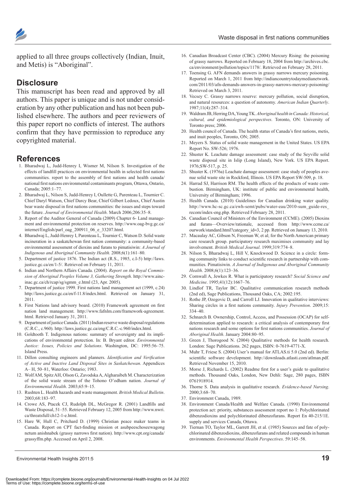

applied to all three groups collectively (Indian, Inuit, and Metis) is "Aboriginal".

### **Disclosure**

This manuscript has been read and approved by all authors. This paper is unique and is not under consideration by any other publication and has not been published elsewhere. The authors and peer reviewers of this paper report no conflicts of interest. The authors confirm that they have permission to reproduce any copyrighted material.

### **References**

- 1. Bharadwaj L, Judd-Henrey I, Wismer M, Nilson S. Investigation of the effects of landfill practices on environmental health in selected first nations communities. report to the assembly of first nations and health canada/ national first nations environmental contaminants program, Ottawa, Ontario, Canada; 2005:1–77.
- 2. Bharadwaj L, Nilson S, Judd-Henrey I, Oullette G, Parenteau L, Tournier C. Chief Daryl Watson, Chief Darcy Bear, Chief Gilbert Ledoux, Chief Austin bear waste disposal in first nations communities: the issues and steps toward the future. *Journal of Environmental Health*. March 2006;206:35–8.
- 3. Report of the Auditor General of Canada (2009) Chapter 6- Land management and environmental protection on reserves. [http://www.oag-bvg.gc.ca/](http://www.oag-bvg.gc.ca/internet/English/parl_oag_200911_06_e_33207.html) [internet/English/parl\\_oag\\_200911\\_06\\_e\\_33207.htm](http://www.oag-bvg.gc.ca/internet/English/parl_oag_200911_06_e_33207.html)l.
- 4. Bharadwaj L, Judd-Henrey I, Parenteau L, Tournier C, Watson D. Solid waste incineration in a saskatchewan first nation community: a community-based environmental assessment of dioxins and furans to pimatisiwin: *A Journal of Indigenous and Aboriginal Community Health.* 2008;6(1):161–80.
- 5. Department of justice 1876. The Indian act (R.S., 1985, c.I-5) [http://laws.](http://laws.justice.gc.ca/en/1-5/) [justice.gc.ca/en/1-5](http://laws.justice.gc.ca/en/1-5/)/. Retrieved on February 11, 2011.
- 6. Indian and Northern Affairs Canada. (2004). *Report on the Royal Commission of Aboriginal Peoples Volume 3, Gathering Strength*. [http://www.ainc](http://www.ainc-inac.gc.ca/ch/rcap/sg/sgmm_e.html)[inac.gc.ca/ch/rcap/sg/sgmm\\_e.html](http://www.ainc-inac.gc.ca/ch/rcap/sg/sgmm_e.html) (23, Apr. 2005).
- 7. Department of justice 1999. First nations land management act (1999, c.24) [http://laws.justice.gc.ca/en/f-11.8/index.htm](http://laws.justice.gc.ca/en/f-11.8/index.html)l. Retrieved on January 31, 2011.
- 8. First Nations land advisory board. (2010) Framework agreement on first nation land management. [http://www.fafnlm.com/framework-agreement.](http://www.fafnlm.com/framework-agreement.html) [html](http://www.fafnlm.com/framework-agreement.html). Retrieved January 31, 2011.
- 9. Department of justice Canada. (2011) Indian reserve waste disposal regulations (C.R.C., c.960). [http://laws.justice.gc.ca/eng/C.R.C.-c.960/index.htm](http://laws.justice.gc.ca/eng/C.R.C.-c.960/index.html)l.
- 10. Goldtooth T. Indigenous nations: summary of sovereignty and its implications of environmental protection. In: B. Bryant editor. *Environmental Justice: Issues, Policies and Solutions*. Washington, DC: 1995:56–75. Island Press.
- 11. Dillon consulting engineers and planners. *Identification and Verification of Active and Inactive Land Disposal Sites in Saskatchewan*. Appendices A– H, 50–81, Waterloo: Ontario; 1983.
- 12. Wolf AM, Spitz AH, Olson G, Zavodska A, Algharaibeh M. Characterization of the solid waste stream of the Tohono O'odham nation. *Journal of Environmental Health*. 2003;65:9–15.
- 13. Rushten L. Health hazards and waste management. *British Medical Bulletin*. 2003;68:183–97.
- 14. Crowe AS, Ptacek CJ, Rudolph DL, McGregor R. (2001) Landfills and Waste Disposal, 51–55. Retrieved February 12, 2005 from [http://www.nwri.](http://www.nwri.ca/threatsfull/ch12-1-e.html) [ca/threatsfull/ch12-1-e.html.](http://www.nwri.ca/threatsfull/ch12-1-e.html)
- 15. Hare W, Hull C, Pritchard D. (1999) Christian peace maker teams in Canada. Report on CPT fact-finding mission ot asubpeeschoseewagong netum anishnabek (grassy narrows first nation). [http://www.cpt.org/canada/](http://www.cpt.org/canada/grassyffm.php) [grassyffm.php](http://www.cpt.org/canada/grassyffm.php). Accessed on April 2, 2008.
- 16. Canadian Broadcast Center (CBC). (2004) Mercury Rising: the poisoning of grassy narrows. Reported on February 18, 2004 from [http://archives.cbc.](http://archives.cbc.ca/environment/pollution/topics/1178/) [ca/environment/pollution/topics/1178](http://archives.cbc.ca/environment/pollution/topics/1178/)/. Retrieved on February 28, 2011.
- 17. Toensing G. AFN demands answers in grassy narrows mercury poisoning. Reported on March 1, 2011 from [http://indiancountrytodaymedianetwork.](http://indiancountrytodaymedianetwork.com/2011/03/afn-demands-answers-in-grassy-narrows-mercury-poisoning/) [com/2011/03/afn-demands-answers-in-grassy-narrows-mercury-poisoning](http://indiancountrytodaymedianetwork.com/2011/03/afn-demands-answers-in-grassy-narrows-mercury-poisoning/)/ Retrieved on March 3, 2011.
- 18. Vecsey C. Grassy narrows reserve: mercury pollution, social disruption, and natural resources: a question of autonomy. *American Indian Quarterly*. 1987;11(4):287–314.
- 19. Waldram JB, Herring DA, Young TK. *Aboriginal health in Canada: Historical, cultural, and epidemiological perspectives*. Toronto, ON: University of Toronto press; 2006.
- 20. Health council of Canada. The health status of Canada's first nations, metis, and inuit peoples, Toronto, ON; 2005.
- 21. Meyers S. Status of solid waste management in the United States. US EPA Report No. SW-526; 1976.
- 22. Shuster K. Leachate damage assessment: case study of the Seyville solid waste disposal site in Islip (Long Island), New York. US EPA Report. 1976;SW-517, p. 25.
- 23. Shuster K. (1976a) Leachate damage assessment: case study of peoples avenue solid waste site in Rockford, Illinois. US EPA Report SW-509, p. 18.
- 24. Harrad SJ, Harrison RM. The health effects of the products of waste combustion. Birmingham, UK: institute of public and environmental health, University of Birmingham; 1996.
- 25. Health Canada. (2010) Guidelines for Canadian drinking water quality. [http://www.hc-sc.gc.ca/ewh-semt/pubs/water-eau/2010-sum\\_guide-res\\_](http://www.hc-sc.gc.ca/ewh-semt/pubs/water-eau/2010-sum_guide-res_recom/index-eng.php) [recom/index-eng.php](http://www.hc-sc.gc.ca/ewh-semt/pubs/water-eau/2010-sum_guide-res_recom/index-eng.php). Retrieved February 28, 2011.
- 26. Canadian Council of Ministers of the Environment (CCME). (2005) Dioxins and furans—Overview/rationale, accessed from [http://www.ccme.ca/](http://www.ccme.ca/ourwork/standard.html?category_id=3, 2 pp) [ourwork/standard.html?category\\_id](http://www.ccme.ca/ourwork/standard.html?category_id=3, 2 pp)=3, 2 pp. Retrieved on January 13, 2010.
- 27. Macaulay AC, Gibson N, Freeman W, et al; for the North American primary care research group. participatory research maximises community and lay involvement. *British Medical Journal*. 1999;319:774–8.
- 28. Nilson S, Bharadwaj L, Hill V, Knockwood D. Science in a circle: forming community links to conduct scientific research in partnership with communities. Pimatisiwin. *A Journal of Indigenous and Aboriginal Community Health*. 2008;6(1):123–36.
- 29. Cornwall A, Jewkes R. What is participatory research? *Social Science and Medicine*. 1995;41(12):1667–76.
- 30. Lindlof TR, Taylor BC. Qualitative communication research methods (2nd ed), Sage Publications, Thousand Oaks, CA; 2002:195.
- 31. Rothe JP, Ozegovic D, and Carroll LJ. Innovation in qualitative interviews: Sharing circles in a first nations community. *Injury Prevention*. 2009;15: 334–40.
- 32. Schnarch B. Ownership, Control, Access, and Possession (OCAP) for selfdetermination applied to research: a critical analysis of contemporary first nations research and some options for first nations communities. *Journal of Aboriginal Health*. January 2004:80–95.
- 33. Green J, Thorogood N. (2004) Qualitative methods for health research. London: Sage Publications. 262 pages, ISBN: 0-7619-4771-X.
- 34. Muhr T, Friese S. (2004) User's manual for ATLAS.ti 5.0 (2nd ed). Berlin: scientific software development. [http://downloads.atlasti.com/atlman.pd](http://downloads.atlasti.com/atlman.pdf)f. Retrieved November 15, 2010.
- 35. Morse J, Richards L. (2002) Readme first for a user's guide to qualitative methods. Thousand Oaks, London, New Dehli: Sage, 280 pages, ISBN 0761918914.
- 36. Thorne S. Data analysis in qualitative research. *Evidence-based Nursing*. 2000;3:68–70.
- 37. Environment Canada, 1989.
- 38. Environment Canada/Health and Welfare Canada. (1990) Environmental protection act: priority, substances assessment report no 1: Polychlorinated dibenzodioxins and polychlorinated dibenzofurans. Report En 40-215/1E. supply and services Canada, Ottawa.
- 39. Tiernan TO, Taylor ML, Garrett JH, et al. (1985) Sources and fate of polychlorinated dibenzodioxins, dibenzofurans and related compounds in human environments. *Environmental Health Perspectives*. 59:145–58.

Environmental Health Insights 2011:5 **19**